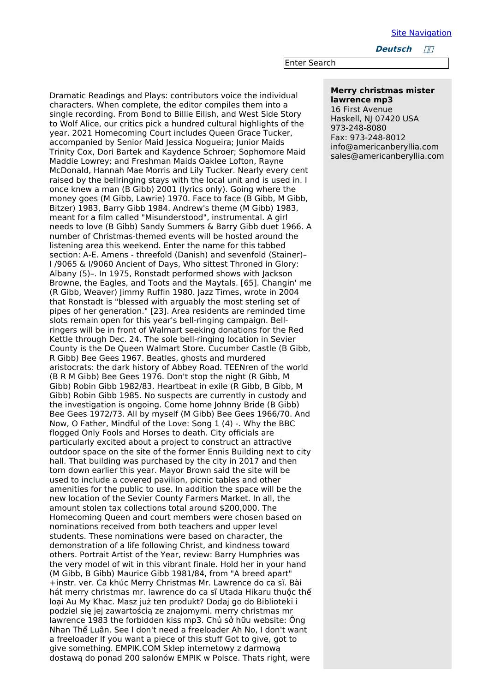Site [Navigation](file:///home/team/dm/generators/menumachine/top_nav/navigation.html)

**Deutsch ////** 

Enter Search

## **Merry christmas mister lawrence mp3**

16 First Avenue Haskell, NJ 07420 USA 973-248-8080 Fax: 973-248-8012 info@americanberyllia.com sales@americanberyllia.com

Dramatic Readings and Plays: contributors voice the individual characters. When complete, the editor compiles them into a single recording. From Bond to Billie Eilish, and West Side Story to Wolf Alice, our critics pick a hundred cultural highlights of the year. 2021 Homecoming Court includes Queen Grace Tucker, accompanied by Senior Maid Jessica Nogueira; Junior Maids Trinity Cox, Dori Bartek and Kaydence Schroer; Sophomore Maid Maddie Lowrey; and Freshman Maids Oaklee Lofton, Rayne McDonald, Hannah Mae Morris and Lily Tucker. Nearly every cent raised by the bellringing stays with the local unit and is used in. I once knew a man (B Gibb) 2001 (lyrics only). Going where the money goes (M Gibb, Lawrie) 1970. Face to face (B Gibb, M Gibb, Bitzer) 1983, Barry Gibb 1984. Andrew's theme (M Gibb) 1983, meant for a film called "Misunderstood", instrumental. A girl needs to love (B Gibb) Sandy Summers & Barry Gibb duet 1966. A number of Christmas-themed events will be hosted around the listening area this weekend. Enter the name for this tabbed section: A-E. Amens - threefold (Danish) and sevenfold (Stainer)– I /9065 & I/9060 Ancient of Days, Who sittest Throned in Glory: Albany (5)–. In 1975, Ronstadt performed shows with Jackson Browne, the Eagles, and Toots and the Maytals. [65]. Changin' me (R Gibb, Weaver) Jimmy Ruffin 1980. Jazz Times, wrote in 2004 that Ronstadt is "blessed with arguably the most sterling set of pipes of her generation." [23]. Area residents are reminded time slots remain open for this year's bell-ringing campaign. Bellringers will be in front of Walmart seeking donations for the Red Kettle through Dec. 24. The sole bell-ringing location in Sevier County is the De Queen Walmart Store. Cucumber Castle (B Gibb, R Gibb) Bee Gees 1967. Beatles, ghosts and murdered aristocrats: the dark history of Abbey Road. TEENren of the world (B R M Gibb) Bee Gees 1976. Don't stop the night (R Gibb, M Gibb) Robin Gibb 1982/83. Heartbeat in exile (R Gibb, B Gibb, M Gibb) Robin Gibb 1985. No suspects are currently in custody and the investigation is ongoing. Come home Johnny Bride (B Gibb) Bee Gees 1972/73. All by myself (M Gibb) Bee Gees 1966/70. And Now, O Father, Mindful of the Love: Song 1 (4) -. Why the BBC flogged Only Fools and Horses to death. City officials are particularly excited about a project to construct an attractive outdoor space on the site of the former Ennis Building next to city hall. That building was purchased by the city in 2017 and then torn down earlier this year. Mayor Brown said the site will be used to include a covered pavilion, picnic tables and other amenities for the public to use. In addition the space will be the new location of the Sevier County Farmers Market. In all, the amount stolen tax collections total around \$200,000. The Homecoming Queen and court members were chosen based on nominations received from both teachers and upper level students. These nominations were based on character, the demonstration of a life following Christ, and kindness toward others. Portrait Artist of the Year, review: Barry Humphries was the very model of wit in this vibrant finale. Hold her in your hand (M Gibb, B Gibb) Maurice Gibb 1981/84, from "A breed apart" +instr. ver. Ca khúc Merry Christmas Mr. Lawrence do ca sĩ. Bài hát merry christmas mr. lawrence do ca sĩ Utada Hikaru thuộc thể loại Au My Khac. Masz już ten produkt? Dodaj go do Biblioteki i podziel się jej zawartością ze znajomymi. merry christmas mr lawrence 1983 the forbidden kiss mp3. Chủ sở hữu website: Ông Nhan Thế Luân. See I don't need a freeloader Ah No, I don't want a freeloader If you want a piece of this stuff Got to give, got to give something. EMPIK.COM Sklep internetowy z darmową dostawą do ponad 200 salonów EMPIK w Polsce. Thats right, were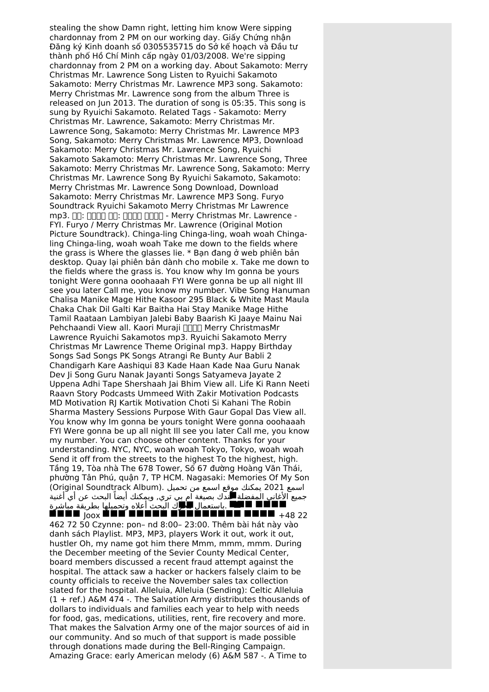stealing the show Damn right, letting him know Were sipping chardonnay from 2 PM on our working day. Giấy Chứng nhận Đăng ký Kinh doanh số 0305535715 do Sở kế hoạch và Đầu tư thành phố Hồ Chí Minh cấp ngày 01/03/2008. We're sipping chardonnay from 2 PM on a working day. About Sakamoto: Merry Christmas Mr. Lawrence Song Listen to Ryuichi Sakamoto Sakamoto: Merry Christmas Mr. Lawrence MP3 song. Sakamoto: Merry Christmas Mr. Lawrence song from the album Three is released on Jun 2013. The duration of song is 05:35. This song is sung by Ryuichi Sakamoto. Related Tags - Sakamoto: Merry Christmas Mr. Lawrence, Sakamoto: Merry Christmas Mr. Lawrence Song, Sakamoto: Merry Christmas Mr. Lawrence MP3 Song, Sakamoto: Merry Christmas Mr. Lawrence MP3, Download Sakamoto: Merry Christmas Mr. Lawrence Song, Ryuichi Sakamoto Sakamoto: Merry Christmas Mr. Lawrence Song, Three Sakamoto: Merry Christmas Mr. Lawrence Song, Sakamoto: Merry Christmas Mr. Lawrence Song By Ryuichi Sakamoto, Sakamoto: Merry Christmas Mr. Lawrence Song Download, Download Sakamoto: Merry Christmas Mr. Lawrence MP3 Song. Furyo Soundtrack Ryuichi Sakamoto Merry Christmas Mr Lawrence mp3. : : - Merry Christmas Mr. Lawrence - FYI. Furyo / Merry Christmas Mr. Lawrence (Original Motion Picture Soundtrack). Chinga-ling Chinga-ling, woah woah Chingaling Chinga-ling, woah woah Take me down to the fields where the grass is Where the glasses lie. \* Bạn đang ở web phiên bản desktop. Quay lại phiên bản dành cho mobile x. Take me down to the fields where the grass is. You know why Im gonna be yours tonight Were gonna ooohaaah FYI Were gonna be up all night Ill see you later Call me, you know my number. Vibe Song Hanuman Chalisa Manike Mage Hithe Kasoor 295 Black & White Mast Maula Chaka Chak Dil Galti Kar Baitha Hai Stay Manike Mage Hithe Tamil Raataan Lambiyan Jalebi Baby Baarish Ki Jaaye Mainu Nai Pehchaandi View all. Kaori Muraji **IIII** Merry ChristmasMr Lawrence Ryuichi Sakamotos mp3. Ryuichi Sakamoto Merry Christmas Mr Lawrence Theme Original mp3. Happy Birthday Songs Sad Songs PK Songs Atrangi Re Bunty Aur Babli 2 Chandigarh Kare Aashiqui 83 Kade Haan Kade Naa Guru Nanak Dev Ji Song Guru Nanak Jayanti Songs Satyameva Jayate 2 Uppena Adhi Tape Shershaah Jai Bhim View all. Life Ki Rann Neeti Raavn Story Podcasts Ummeed With Zakir Motivation Podcasts MD Motivation RJ Kartik Motivation Choti Si Kahani The Robin Sharma Mastery Sessions Purpose With Gaur Gopal Das View all. You know why Im gonna be yours tonight Were gonna ooohaaah FYI Were gonna be up all night Ill see you later Call me, you know my number. You can choose other content. Thanks for your understanding. NYC, NYC, woah woah Tokyo, Tokyo, woah woah Send it off from the streets to the highest To the highest, high. Tầng 19, Tòa nhà The 678 Tower, Số 67 đường Hoàng Văn Thái, phường Tân Phú, quận 7, TP HCM. Nagasaki: Memories Of My Son اسمع 2021 يمكنك موقع اسمع من تحميل .(Album Soundtrack Original( جميع الأغاني المفضلة عندك بصيغة ام بي تري, ويمكنك ً أيضا البحث عن أي أغنية .باستعمال محرك البحث أعلاه وتحميلها بطريقة مباشرة  $_{\rm JOOX}$  when when whenever and  $_{+48}$   $_{22}$ 462 72 50 Czynne: pon– nd 8:00– 23:00. Thêm bài hát này vào danh sách Playlist. MP3, MP3, players Work it out, work it out, hustler Oh, my name got him there Mmm, mmm, mmm. During the December meeting of the Sevier County Medical Center, board members discussed a recent fraud attempt against the hospital. The attack saw a hacker or hackers falsely claim to be county officials to receive the November sales tax collection slated for the hospital. Alleluia, Alleluia (Sending): Celtic Alleluia (1 + ref.) A&M 474 -. The Salvation Army distributes thousands of dollars to individuals and families each year to help with needs for food, gas, medications, utilities, rent, fire recovery and more. That makes the Salvation Army one of the major sources of aid in our community. And so much of that support is made possible through donations made during the Bell-Ringing Campaign. Amazing Grace: early American melody (6) A&M 587 -. A Time to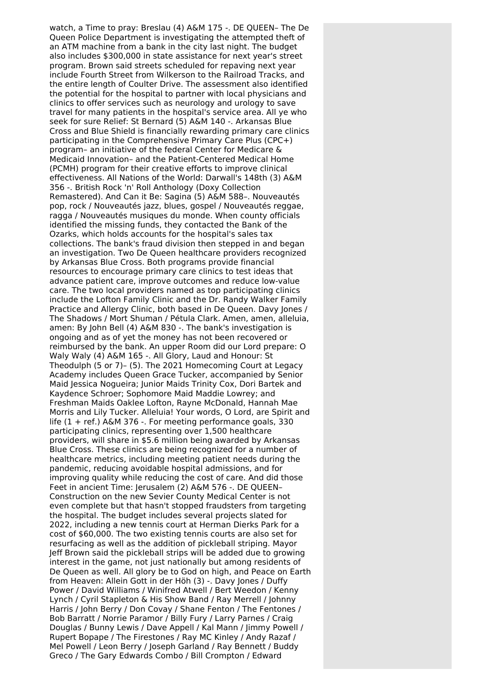watch, a Time to pray: Breslau (4) A&M 175 -. DE QUEEN– The De Queen Police Department is investigating the attempted theft of an ATM machine from a bank in the city last night. The budget also includes \$300,000 in state assistance for next year's street program. Brown said streets scheduled for repaving next year include Fourth Street from Wilkerson to the Railroad Tracks, and the entire length of Coulter Drive. The assessment also identified the potential for the hospital to partner with local physicians and clinics to offer services such as neurology and urology to save travel for many patients in the hospital's service area. All ye who seek for sure Relief: St Bernard (5) A&M 140 -. Arkansas Blue Cross and Blue Shield is financially rewarding primary care clinics participating in the Comprehensive Primary Care Plus (CPC+) program– an initiative of the federal Center for Medicare & Medicaid Innovation– and the Patient-Centered Medical Home (PCMH) program for their creative efforts to improve clinical effectiveness. All Nations of the World: Darwall's 148th (3) A&M 356 -. British Rock 'n' Roll Anthology (Doxy Collection Remastered). And Can it Be: Sagina (5) A&M 588–. Nouveautés pop, rock / Nouveautés jazz, blues, gospel / Nouveautés reggae, ragga / Nouveautés musiques du monde. When county officials identified the missing funds, they contacted the Bank of the Ozarks, which holds accounts for the hospital's sales tax collections. The bank's fraud division then stepped in and began an investigation. Two De Queen healthcare providers recognized by Arkansas Blue Cross. Both programs provide financial resources to encourage primary care clinics to test ideas that advance patient care, improve outcomes and reduce low-value care. The two local providers named as top participating clinics include the Lofton Family Clinic and the Dr. Randy Walker Family Practice and Allergy Clinic, both based in De Queen. Davy Jones / The Shadows / Mort Shuman / Pétula Clark. Amen, amen, alleluia, amen: By John Bell (4) A&M 830 -. The bank's investigation is ongoing and as of yet the money has not been recovered or reimbursed by the bank. An upper Room did our Lord prepare: O Waly Waly (4) A&M 165 -. All Glory, Laud and Honour: St Theodulph (5 or 7)– (5). The 2021 Homecoming Court at Legacy Academy includes Queen Grace Tucker, accompanied by Senior Maid Jessica Nogueira; Junior Maids Trinity Cox, Dori Bartek and Kaydence Schroer; Sophomore Maid Maddie Lowrey; and Freshman Maids Oaklee Lofton, Rayne McDonald, Hannah Mae Morris and Lily Tucker. Alleluia! Your words, O Lord, are Spirit and life  $(1 + ref.)$  A&M 376 -. For meeting performance goals, 330 participating clinics, representing over 1,500 healthcare providers, will share in \$5.6 million being awarded by Arkansas Blue Cross. These clinics are being recognized for a number of healthcare metrics, including meeting patient needs during the pandemic, reducing avoidable hospital admissions, and for improving quality while reducing the cost of care. And did those Feet in ancient Time: Jerusalem (2) A&M 576 -. DE QUEEN– Construction on the new Sevier County Medical Center is not even complete but that hasn't stopped fraudsters from targeting the hospital. The budget includes several projects slated for 2022, including a new tennis court at Herman Dierks Park for a cost of \$60,000. The two existing tennis courts are also set for resurfacing as well as the addition of pickleball striping. Mayor Jeff Brown said the pickleball strips will be added due to growing interest in the game, not just nationally but among residents of De Queen as well. All glory be to God on high, and Peace on Earth from Heaven: Allein Gott in der Höh (3) -. Davy Jones / Duffy Power / David Williams / Winifred Atwell / Bert Weedon / Kenny Lynch / Cyril Stapleton & His Show Band / Ray Merrell / Johnny Harris / John Berry / Don Covay / Shane Fenton / The Fentones / Bob Barratt / Norrie Paramor / Billy Fury / Larry Parnes / Craig Douglas / Bunny Lewis / Dave Appell / Kal Mann / Jimmy Powell / Rupert Bopape / The Firestones / Ray MC Kinley / Andy Razaf / Mel Powell / Leon Berry / Joseph Garland / Ray Bennett / Buddy Greco / The Gary Edwards Combo / Bill Crompton / Edward